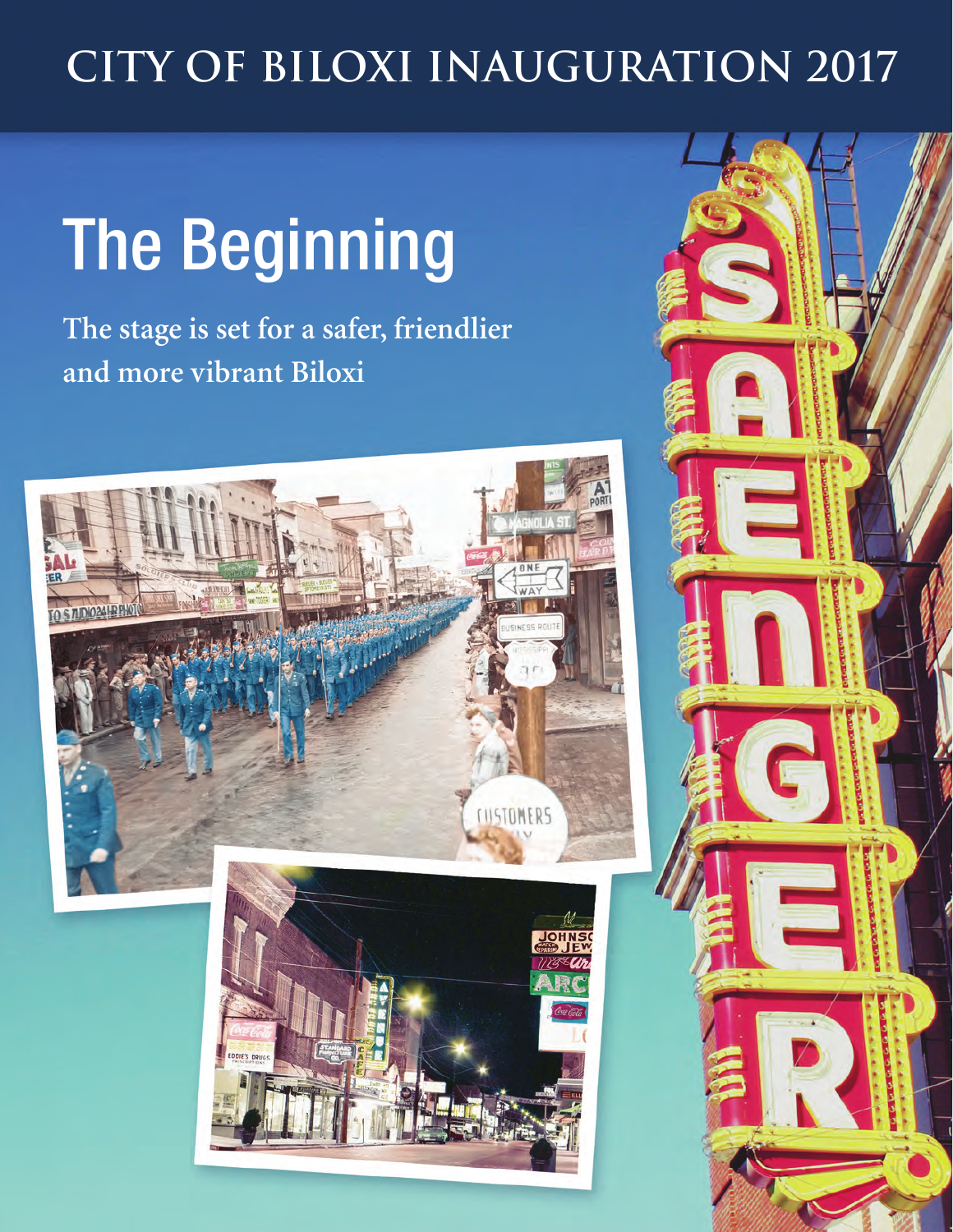### **CITY OF BILOXI INAUGURATION 2017**

# The Beginning

**The stage is set for a safer, friendlier and more vibrant Biloxi**

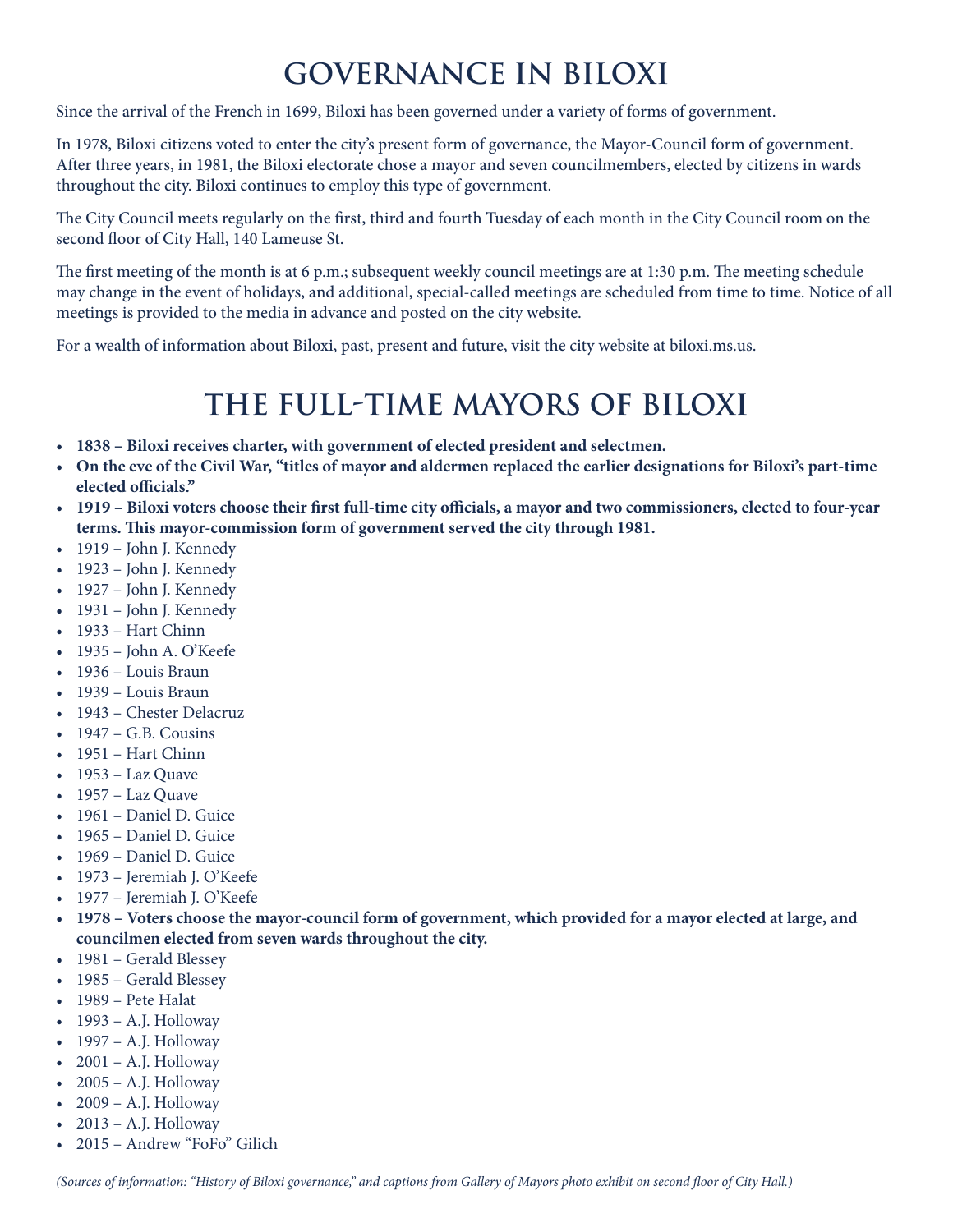#### **Governance in Biloxi**

Since the arrival of the French in 1699, Biloxi has been governed under a variety of forms of government.

In 1978, Biloxi citizens voted to enter the city's present form of governance, the Mayor-Council form of government. After three years, in 1981, the Biloxi electorate chose a mayor and seven councilmembers, elected by citizens in wards throughout the city. Biloxi continues to employ this type of government.

The City Council meets regularly on the first, third and fourth Tuesday of each month in the City Council room on the second floor of City Hall, 140 Lameuse St.

The first meeting of the month is at 6 p.m.; subsequent weekly council meetings are at 1:30 p.m. The meeting schedule may change in the event of holidays, and additional, special-called meetings are scheduled from time to time. Notice of all meetings is provided to the media in advance and posted on the city website.

For a wealth of information about Biloxi, past, present and future, visit the city website at biloxi.ms.us.

#### **The full-time mayors of Biloxi**

- **• 1838 Biloxi receives charter, with government of elected president and selectmen.**
- **• On the eve of the Civil War, "titles of mayor and aldermen replaced the earlier designations for Biloxi's part-time elected officials."**
- **• 1919 Biloxi voters choose their first full-time city officials, a mayor and two commissioners, elected to four-year terms. This mayor-commission form of government served the city through 1981.**
- 1919 John J. Kennedy
- 1923 John J. Kennedy
- 1927 John J. Kennedy
- 1931 John J. Kennedy
- 1933 Hart Chinn
- 1935 John A. O'Keefe
- 1936 Louis Braun
- 1939 Louis Braun
- 1943 Chester Delacruz
- $\bullet$  1947 G.B. Cousins
- 1951 Hart Chinn
- $\bullet$  1953 Laz Quave
- $\bullet$  1957 Laz Quave
- 1961 Daniel D. Guice
- 1965 Daniel D. Guice
- 1969 Daniel D. Guice
- 1973 Jeremiah J. O'Keefe
- 1977 Jeremiah J. O'Keefe
- **• 1978 Voters choose the mayor-council form of government, which provided for a mayor elected at large, and councilmen elected from seven wards throughout the city.**
- 1981 Gerald Blessey
- 1985 Gerald Blessey
- 1989 Pete Halat
- 1993 A.J. Holloway
- 1997 A.J. Holloway
- $2001 A.J.$  Holloway
- $\bullet$  2005 A.J. Holloway
- $\bullet$  2009 A.J. Holloway
- $\bullet$  2013 A.J. Holloway
- 2015 Andrew "FoFo" Gilich

*(Sources of information: "History of Biloxi governance," and captions from Gallery of Mayors photo exhibit on second floor of City Hall.)*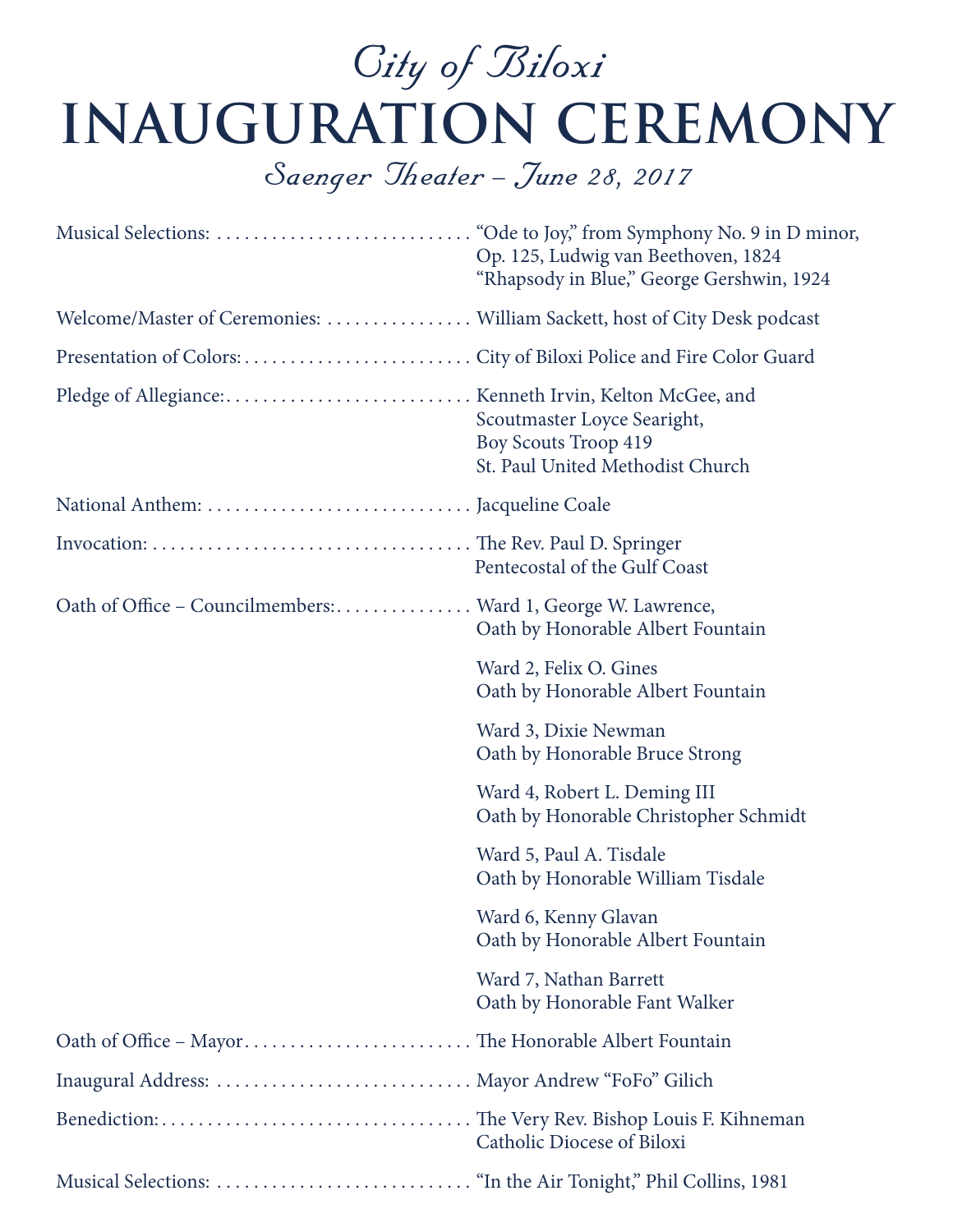## City of Biloxi **Inauguration Ceremony**

#### Saenger Theater – June 28, 2017

|                                                                           | Op. 125, Ludwig van Beethoven, 1824<br>"Rhapsody in Blue," George Gershwin, 1924               |
|---------------------------------------------------------------------------|------------------------------------------------------------------------------------------------|
| Welcome/Master of Ceremonies:  William Sackett, host of City Desk podcast |                                                                                                |
|                                                                           |                                                                                                |
|                                                                           | Scoutmaster Loyce Searight,<br><b>Boy Scouts Troop 419</b><br>St. Paul United Methodist Church |
|                                                                           |                                                                                                |
|                                                                           | Pentecostal of the Gulf Coast                                                                  |
| Oath of Office - Councilmembers:  Ward 1, George W. Lawrence,             | Oath by Honorable Albert Fountain                                                              |
|                                                                           | Ward 2, Felix O. Gines<br>Oath by Honorable Albert Fountain                                    |
|                                                                           | Ward 3, Dixie Newman<br>Oath by Honorable Bruce Strong                                         |
|                                                                           | Ward 4, Robert L. Deming III<br>Oath by Honorable Christopher Schmidt                          |
|                                                                           | Ward 5, Paul A. Tisdale<br>Oath by Honorable William Tisdale                                   |
|                                                                           | Ward 6, Kenny Glavan<br>Oath by Honorable Albert Fountain                                      |
|                                                                           | Ward 7, Nathan Barrett<br>Oath by Honorable Fant Walker                                        |
| Oath of Office - Mayor The Honorable Albert Fountain                      |                                                                                                |
| Inaugural Address:  Mayor Andrew "FoFo" Gilich                            |                                                                                                |
|                                                                           | <b>Catholic Diocese of Biloxi</b>                                                              |
|                                                                           |                                                                                                |